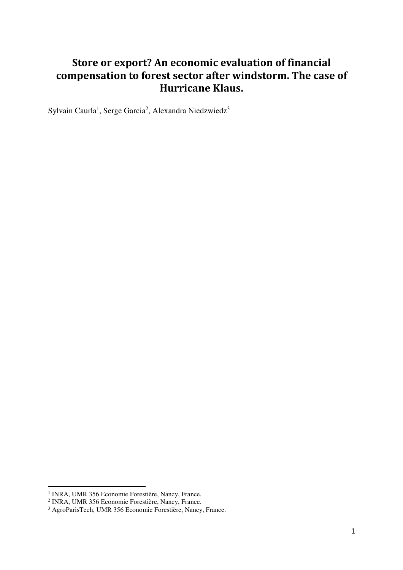# **Store or export? An economic evaluation of financial** compensation to forest sector after windstorm. The case of **Hurricane Klaus.**

Sylvain Caurla<sup>1</sup>, Serge Garcia<sup>2</sup>, Alexandra Niedzwiedz<sup>3</sup>

 1 INRA, UMR 356 Economie Forestière, Nancy, France. 2 INRA, UMR 356 Economie Forestière, Nancy, France.

<sup>3</sup> AgroParisTech, UMR 356 Economie Forestière, Nancy, France.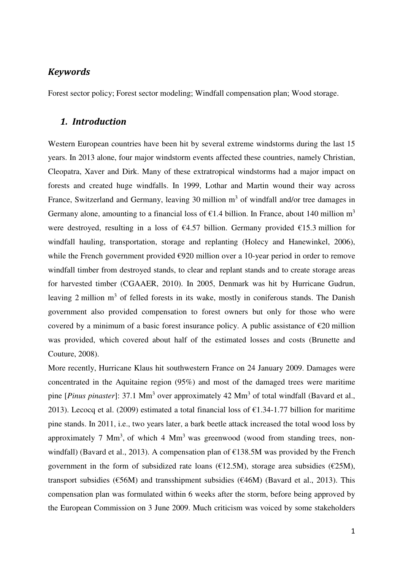## *Keywords*

Forest sector policy; Forest sector modeling; Windfall compensation plan; Wood storage.

### *1. Introduction*

Western European countries have been hit by several extreme windstorms during the last 15 years. In 2013 alone, four major windstorm events affected these countries, namely Christian, Cleopatra, Xaver and Dirk. Many of these extratropical windstorms had a major impact on forests and created huge windfalls. In 1999, Lothar and Martin wound their way across France, Switzerland and Germany, leaving 30 million m<sup>3</sup> of windfall and/or tree damages in Germany alone, amounting to a financial loss of  $\epsilon$ 1.4 billion. In France, about 140 million m<sup>3</sup> were destroyed, resulting in a loss of  $\epsilon$ 4.57 billion. Germany provided  $\epsilon$ 15.3 million for windfall hauling, transportation, storage and replanting (Holecy and Hanewinkel, 2006), while the French government provided €920 million over a 10-year period in order to remove windfall timber from destroyed stands, to clear and replant stands and to create storage areas for harvested timber (CGAAER, 2010). In 2005, Denmark was hit by Hurricane Gudrun, leaving 2 million  $m<sup>3</sup>$  of felled forests in its wake, mostly in coniferous stands. The Danish government also provided compensation to forest owners but only for those who were covered by a minimum of a basic forest insurance policy. A public assistance of  $\epsilon$ 20 million was provided, which covered about half of the estimated losses and costs (Brunette and Couture, 2008).

More recently, Hurricane Klaus hit southwestern France on 24 January 2009. Damages were concentrated in the Aquitaine region (95%) and most of the damaged trees were maritime pine [*Pinus pinaster*]: 37.1 Mm<sup>3</sup> over approximately 42 Mm<sup>3</sup> of total windfall (Bavard et al., 2013). Lecocq et al. (2009) estimated a total financial loss of  $\epsilon$ 1.34-1.77 billion for maritime pine stands. In 2011, i.e., two years later, a bark beetle attack increased the total wood loss by approximately 7 Mm<sup>3</sup>, of which 4 Mm<sup>3</sup> was greenwood (wood from standing trees, nonwindfall) (Bavard et al., 2013). A compensation plan of  $\epsilon$ 138.5M was provided by the French government in the form of subsidized rate loans ( $\epsilon$ 12.5M), storage area subsidies ( $\epsilon$ 25M), transport subsidies ( $\epsilon$ 56M) and transshipment subsidies ( $\epsilon$ 46M) (Bavard et al., 2013). This compensation plan was formulated within 6 weeks after the storm, before being approved by the European Commission on 3 June 2009. Much criticism was voiced by some stakeholders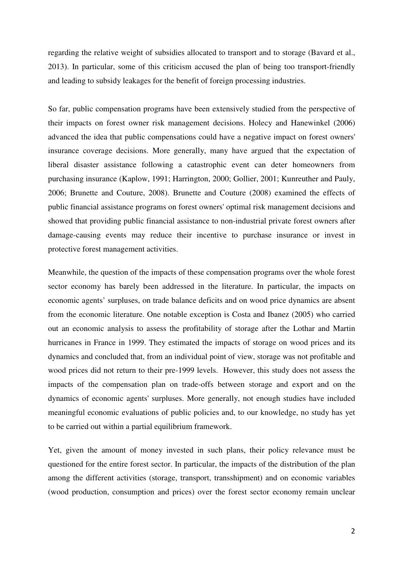regarding the relative weight of subsidies allocated to transport and to storage (Bavard et al., 2013). In particular, some of this criticism accused the plan of being too transport-friendly and leading to subsidy leakages for the benefit of foreign processing industries.

So far, public compensation programs have been extensively studied from the perspective of their impacts on forest owner risk management decisions. Holecy and Hanewinkel (2006) advanced the idea that public compensations could have a negative impact on forest owners' insurance coverage decisions. More generally, many have argued that the expectation of liberal disaster assistance following a catastrophic event can deter homeowners from purchasing insurance (Kaplow, 1991; Harrington, 2000; Gollier, 2001; Kunreuther and Pauly, 2006; Brunette and Couture, 2008). Brunette and Couture (2008) examined the effects of public financial assistance programs on forest owners' optimal risk management decisions and showed that providing public financial assistance to non-industrial private forest owners after damage-causing events may reduce their incentive to purchase insurance or invest in protective forest management activities.

Meanwhile, the question of the impacts of these compensation programs over the whole forest sector economy has barely been addressed in the literature. In particular, the impacts on economic agents' surpluses, on trade balance deficits and on wood price dynamics are absent from the economic literature. One notable exception is Costa and Ibanez (2005) who carried out an economic analysis to assess the profitability of storage after the Lothar and Martin hurricanes in France in 1999. They estimated the impacts of storage on wood prices and its dynamics and concluded that, from an individual point of view, storage was not profitable and wood prices did not return to their pre-1999 levels. However, this study does not assess the impacts of the compensation plan on trade-offs between storage and export and on the dynamics of economic agents' surpluses. More generally, not enough studies have included meaningful economic evaluations of public policies and, to our knowledge, no study has yet to be carried out within a partial equilibrium framework.

Yet, given the amount of money invested in such plans, their policy relevance must be questioned for the entire forest sector. In particular, the impacts of the distribution of the plan among the different activities (storage, transport, transshipment) and on economic variables (wood production, consumption and prices) over the forest sector economy remain unclear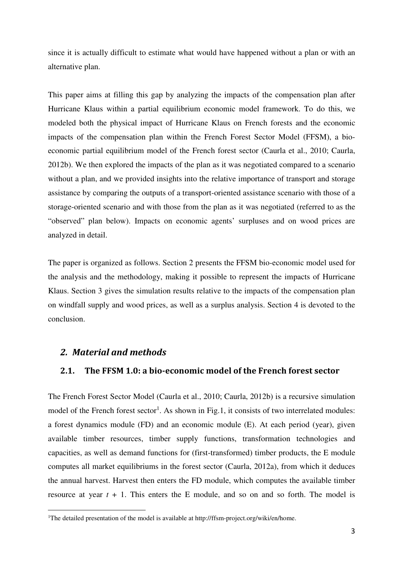since it is actually difficult to estimate what would have happened without a plan or with an alternative plan.

This paper aims at filling this gap by analyzing the impacts of the compensation plan after Hurricane Klaus within a partial equilibrium economic model framework. To do this, we modeled both the physical impact of Hurricane Klaus on French forests and the economic impacts of the compensation plan within the French Forest Sector Model (FFSM), a bioeconomic partial equilibrium model of the French forest sector (Caurla et al., 2010; Caurla, 2012b). We then explored the impacts of the plan as it was negotiated compared to a scenario without a plan, and we provided insights into the relative importance of transport and storage assistance by comparing the outputs of a transport-oriented assistance scenario with those of a storage-oriented scenario and with those from the plan as it was negotiated (referred to as the "observed" plan below). Impacts on economic agents' surpluses and on wood prices are analyzed in detail.

The paper is organized as follows. Section 2 presents the FFSM bio-economic model used for the analysis and the methodology, making it possible to represent the impacts of Hurricane Klaus. Section 3 gives the simulation results relative to the impacts of the compensation plan on windfall supply and wood prices, as well as a surplus analysis. Section 4 is devoted to the conclusion.

#### *2. Material and methods*

l

#### **2.1. The FFSM 1.0: a bio-economic model of the French forest sector**

The French Forest Sector Model (Caurla et al., 2010; Caurla, 2012b) is a recursive simulation model of the French forest sector<sup>1</sup>. As shown in Fig.1, it consists of two interrelated modules: a forest dynamics module (FD) and an economic module (E). At each period (year), given available timber resources, timber supply functions, transformation technologies and capacities, as well as demand functions for (first-transformed) timber products, the E module computes all market equilibriums in the forest sector (Caurla, 2012a), from which it deduces the annual harvest. Harvest then enters the FD module, which computes the available timber resource at year  $t + 1$ . This enters the E module, and so on and so forth. The model is

<sup>&</sup>lt;sup>1</sup>The detailed presentation of the model is available at http://ffsm-project.org/wiki/en/home.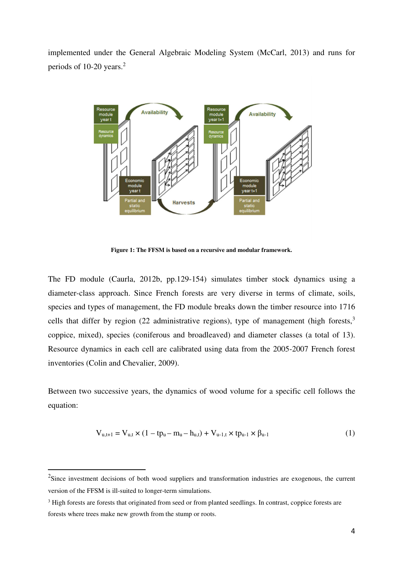implemented under the General Algebraic Modeling System (McCarl, 2013) and runs for periods of 10-20 years.<sup>2</sup>



**Figure 1: The FFSM is based on a recursive and modular framework.** 

The FD module (Caurla, 2012b, pp.129-154) simulates timber stock dynamics using a diameter-class approach. Since French forests are very diverse in terms of climate, soils, species and types of management, the FD module breaks down the timber resource into 1716 cells that differ by region (22 administrative regions), type of management (high forests, $3\overline{ }$ ) coppice, mixed), species (coniferous and broadleaved) and diameter classes (a total of 13). Resource dynamics in each cell are calibrated using data from the 2005-2007 French forest inventories (Colin and Chevalier, 2009).

Between two successive years, the dynamics of wood volume for a specific cell follows the equation:

$$
V_{u,t+1} = V_{u,t} \times (1 - tp_u - m_u - h_{u,t}) + V_{u-1,t} \times tp_{u-1} \times \beta_{u-1}
$$
 (1)

 $\overline{a}$ 

 $2$ Since investment decisions of both wood suppliers and transformation industries are exogenous, the current version of the FFSM is ill-suited to longer-term simulations.

<sup>&</sup>lt;sup>3</sup> High forests are forests that originated from seed or from planted seedlings. In contrast, coppice forests are forests where trees make new growth from the stump or roots.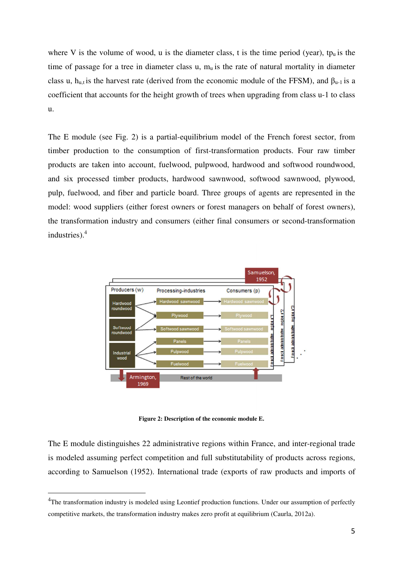where V is the volume of wood, u is the diameter class, t is the time period (year), tp<sub>u</sub> is the time of passage for a tree in diameter class u,  $m_u$  is the rate of natural mortality in diameter class u, h<sub>u,t</sub> is the harvest rate (derived from the economic module of the FFSM), and  $\beta_{u-1}$  is a coefficient that accounts for the height growth of trees when upgrading from class u-1 to class u.

The E module (see Fig. 2) is a partial-equilibrium model of the French forest sector, from timber production to the consumption of first-transformation products. Four raw timber products are taken into account, fuelwood, pulpwood, hardwood and softwood roundwood, and six processed timber products, hardwood sawnwood, softwood sawnwood, plywood, pulp, fuelwood, and fiber and particle board. Three groups of agents are represented in the model: wood suppliers (either forest owners or forest managers on behalf of forest owners), the transformation industry and consumers (either final consumers or second-transformation industries).<sup>4</sup>



**Figure 2: Description of the economic module E.** 

The E module distinguishes 22 administrative regions within France, and inter-regional trade is modeled assuming perfect competition and full substitutability of products across regions, according to Samuelson (1952). International trade (exports of raw products and imports of

 $\overline{a}$ 

<sup>&</sup>lt;sup>4</sup>The transformation industry is modeled using Leontief production functions. Under our assumption of perfectly competitive markets, the transformation industry makes zero profit at equilibrium (Caurla, 2012a).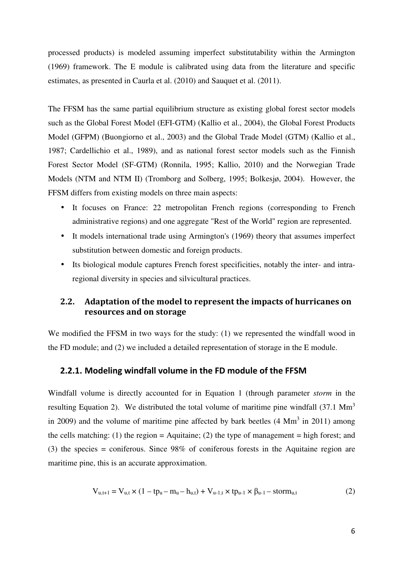processed products) is modeled assuming imperfect substitutability within the Armington (1969) framework. The E module is calibrated using data from the literature and specific estimates, as presented in Caurla et al. (2010) and Sauquet et al. (2011).

The FFSM has the same partial equilibrium structure as existing global forest sector models such as the Global Forest Model (EFI-GTM) (Kallio et al., 2004), the Global Forest Products Model (GFPM) (Buongiorno et al., 2003) and the Global Trade Model (GTM) (Kallio et al., 1987; Cardellichio et al., 1989), and as national forest sector models such as the Finnish Forest Sector Model (SF-GTM) (Ronnila, 1995; Kallio, 2010) and the Norwegian Trade Models (NTM and NTM II) (Tromborg and Solberg, 1995; Bolkesjø, 2004). However, the FFSM differs from existing models on three main aspects:

- It focuses on France: 22 metropolitan French regions (corresponding to French administrative regions) and one aggregate "Rest of the World" region are represented.
- It models international trade using Armington's (1969) theory that assumes imperfect substitution between domestic and foreign products.
- Its biological module captures French forest specificities, notably the inter- and intraregional diversity in species and silvicultural practices.

## **2.2. Adaptation of the model to represent the impacts of hurricanes on resources and on storage**

We modified the FFSM in two ways for the study: (1) we represented the windfall wood in the FD module; and (2) we included a detailed representation of storage in the E module.

#### **2.2.1. Modeling windfall volume in the FD module of the FFSM**

Windfall volume is directly accounted for in Equation 1 (through parameter *storm* in the resulting Equation 2). We distributed the total volume of maritime pine windfall  $(37.1 \text{ Mm}^3)$ in 2009) and the volume of maritime pine affected by bark beetles  $(4 \text{ Mm}^3 \text{ in } 2011)$  among the cells matching: (1) the region = Aquitaine; (2) the type of management = high forest; and (3) the species = coniferous. Since 98% of coniferous forests in the Aquitaine region are maritime pine, this is an accurate approximation.

$$
V_{u,t+1} = V_{u,t} \times (1 - tp_u - m_u - h_{u,t}) + V_{u-1,t} \times tp_{u-1} \times \beta_{u-1} - storm_{u,t}
$$
 (2)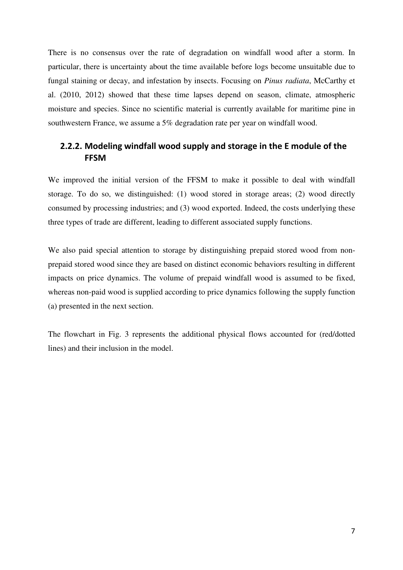There is no consensus over the rate of degradation on windfall wood after a storm. In particular, there is uncertainty about the time available before logs become unsuitable due to fungal staining or decay, and infestation by insects. Focusing on *Pinus radiata*, McCarthy et al. (2010, 2012) showed that these time lapses depend on season, climate, atmospheric moisture and species. Since no scientific material is currently available for maritime pine in southwestern France, we assume a 5% degradation rate per year on windfall wood.

## **2.2.2. Modeling windfall wood supply and storage in the E module of the FFSM**

We improved the initial version of the FFSM to make it possible to deal with windfall storage. To do so, we distinguished: (1) wood stored in storage areas; (2) wood directly consumed by processing industries; and (3) wood exported. Indeed, the costs underlying these three types of trade are different, leading to different associated supply functions.

We also paid special attention to storage by distinguishing prepaid stored wood from nonprepaid stored wood since they are based on distinct economic behaviors resulting in different impacts on price dynamics. The volume of prepaid windfall wood is assumed to be fixed, whereas non-paid wood is supplied according to price dynamics following the supply function (a) presented in the next section.

The flowchart in Fig. 3 represents the additional physical flows accounted for (red/dotted lines) and their inclusion in the model.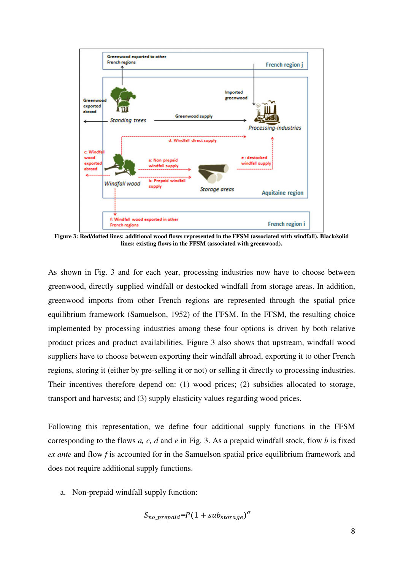

**Figure 3: Red/dotted lines: additional wood flows represented in the FFSM (associated with windfall). Black/solid lines: existing flows in the FFSM (associated with greenwood).** 

As shown in Fig. 3 and for each year, processing industries now have to choose between greenwood, directly supplied windfall or destocked windfall from storage areas. In addition, greenwood imports from other French regions are represented through the spatial price equilibrium framework (Samuelson, 1952) of the FFSM. In the FFSM, the resulting choice implemented by processing industries among these four options is driven by both relative product prices and product availabilities. Figure 3 also shows that upstream, windfall wood suppliers have to choose between exporting their windfall abroad, exporting it to other French regions, storing it (either by pre-selling it or not) or selling it directly to processing industries. Their incentives therefore depend on: (1) wood prices; (2) subsidies allocated to storage, transport and harvests; and (3) supply elasticity values regarding wood prices.

Following this representation, we define four additional supply functions in the FFSM corresponding to the flows *a, c, d* and *e* in Fig. 3. As a prepaid windfall stock, flow *b* is fixed *ex ante* and flow *f* is accounted for in the Samuelson spatial price equilibrium framework and does not require additional supply functions.

a. Non-prepaid windfall supply function:

$$
S_{no\_prepaid} = P(1 + sub_{storage})^{\sigma}
$$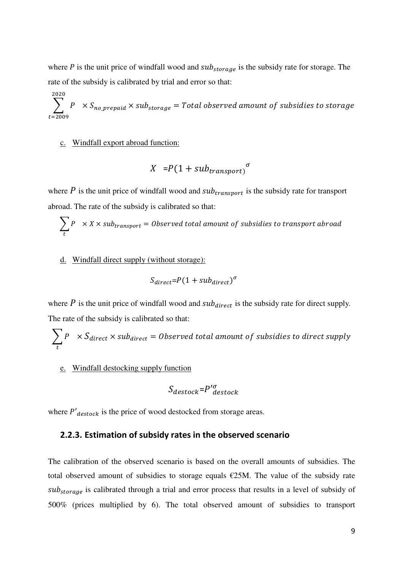where  $P$  is the unit price of windfall wood and  $sub_{storage}$  is the subsidy rate for storage. The rate of the subsidy is calibrated by trial and error so that:

 $\sum_{i=1}^{n} P \times S_{no\_prepaid} \times sub_{storage} = Total\ observed\ amount\ of\ subsidies\ to\ storage$ 2020  $t = 2009$ 

#### c. Windfall export abroad function:

$$
X = P(1 + sub_{transport}^{\sigma})
$$

where  $P$  is the unit price of windfall wood and  $sub_{transport}$  is the subsidy rate for transport abroad. The rate of the subsidy is calibrated so that:

$$
\sum_{t} P \times X \times sub_{transport} = Observed total amount of subsidies to transport abroad
$$

#### d. Windfall direct supply (without storage):

$$
S_{direct} = P(1 + sub_{direct})^{\sigma}
$$

where  $P$  is the unit price of windfall wood and  $sub_{direct}$  is the subsidy rate for direct supply. The rate of the subsidy is calibrated so that:

$$
\sum_{t} P \times S_{direct} \times sub_{direct} = Observed total amount of subsidies to direct supply
$$

e. Windfall destocking supply function

$$
S_{destock}=P^{\prime\sigma}_{destock}
$$

where  $P'_{destock}$  is the price of wood destocked from storage areas.

#### **2.2.3. Estimation of subsidy rates in the observed scenario**

The calibration of the observed scenario is based on the overall amounts of subsidies. The total observed amount of subsidies to storage equals €25M. The value of the subsidy rate  $sub_{storage}$  is calibrated through a trial and error process that results in a level of subsidy of 500% (prices multiplied by 6). The total observed amount of subsidies to transport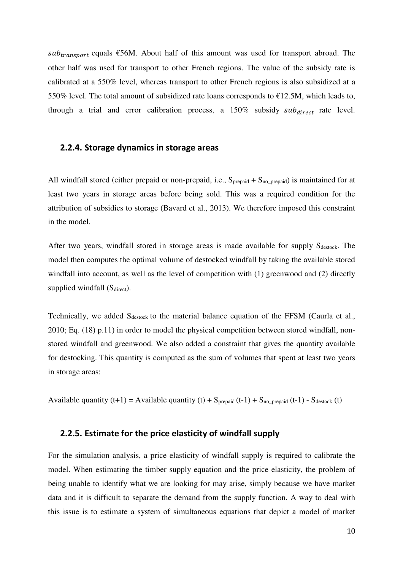$sub_{transport}$  equals  $\epsilon$ 56M. About half of this amount was used for transport abroad. The other half was used for transport to other French regions. The value of the subsidy rate is calibrated at a 550% level, whereas transport to other French regions is also subsidized at a 550% level. The total amount of subsidized rate loans corresponds to  $£12.5M$ , which leads to, through a trial and error calibration process, a  $150\%$  subsidy  $sub_{direct}$  rate level.

#### **2.2.4. Storage dynamics in storage areas**

All windfall stored (either prepaid or non-prepaid, i.e.,  $S_{prepaid} + S_{no\_prepaid}$ ) is maintained for at least two years in storage areas before being sold. This was a required condition for the attribution of subsidies to storage (Bavard et al., 2013). We therefore imposed this constraint in the model.

After two years, windfall stored in storage areas is made available for supply  $S_{\text{destock}}$ . The model then computes the optimal volume of destocked windfall by taking the available stored windfall into account, as well as the level of competition with (1) greenwood and (2) directly supplied windfall (S<sub>direct</sub>).

Technically, we added S<sub>destock</sub> to the material balance equation of the FFSM (Caurla et al., 2010; Eq. (18) p.11) in order to model the physical competition between stored windfall, nonstored windfall and greenwood. We also added a constraint that gives the quantity available for destocking. This quantity is computed as the sum of volumes that spent at least two years in storage areas:

Available quantity  $(t+1) =$  Available quantity  $(t) + S_{\text{prepaid}}(t-1) + S_{\text{no prepaid}}(t-1) - S_{\text{destock}}(t)$ 

### **2.2.5. Estimate for the price elasticity of windfall supply**

For the simulation analysis, a price elasticity of windfall supply is required to calibrate the model. When estimating the timber supply equation and the price elasticity, the problem of being unable to identify what we are looking for may arise, simply because we have market data and it is difficult to separate the demand from the supply function. A way to deal with this issue is to estimate a system of simultaneous equations that depict a model of market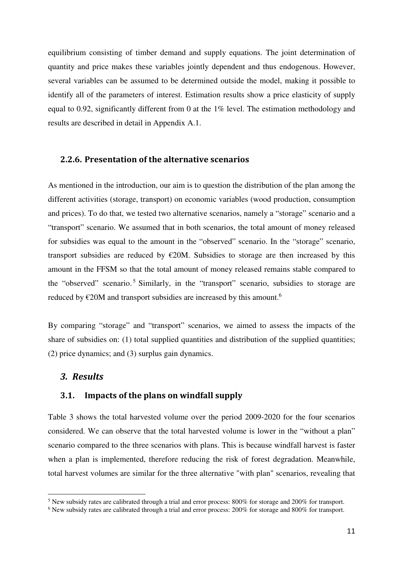equilibrium consisting of timber demand and supply equations. The joint determination of quantity and price makes these variables jointly dependent and thus endogenous. However, several variables can be assumed to be determined outside the model, making it possible to identify all of the parameters of interest. Estimation results show a price elasticity of supply equal to 0.92, significantly different from 0 at the 1% level. The estimation methodology and results are described in detail in Appendix A.1.

#### **2.2.6. Presentation of the alternative scenarios**

As mentioned in the introduction, our aim is to question the distribution of the plan among the different activities (storage, transport) on economic variables (wood production, consumption and prices). To do that, we tested two alternative scenarios, namely a "storage" scenario and a "transport" scenario. We assumed that in both scenarios, the total amount of money released for subsidies was equal to the amount in the "observed" scenario. In the "storage" scenario, transport subsidies are reduced by  $\epsilon$ 20M. Subsidies to storage are then increased by this amount in the FFSM so that the total amount of money released remains stable compared to the "observed" scenario.<sup>5</sup> Similarly, in the "transport" scenario, subsidies to storage are reduced by  $\epsilon$ 20M and transport subsidies are increased by this amount.<sup>6</sup>

By comparing "storage" and "transport" scenarios, we aimed to assess the impacts of the share of subsidies on: (1) total supplied quantities and distribution of the supplied quantities; (2) price dynamics; and (3) surplus gain dynamics.

#### *3. Results*

l

#### **3.1. Impacts of the plans on windfall supply**

Table 3 shows the total harvested volume over the period 2009-2020 for the four scenarios considered. We can observe that the total harvested volume is lower in the "without a plan" scenario compared to the three scenarios with plans. This is because windfall harvest is faster when a plan is implemented, therefore reducing the risk of forest degradation. Meanwhile, total harvest volumes are similar for the three alternative "with plan" scenarios, revealing that

<sup>&</sup>lt;sup>5</sup> New subsidy rates are calibrated through a trial and error process: 800% for storage and 200% for transport.

<sup>&</sup>lt;sup>6</sup> New subsidy rates are calibrated through a trial and error process: 200% for storage and 800% for transport.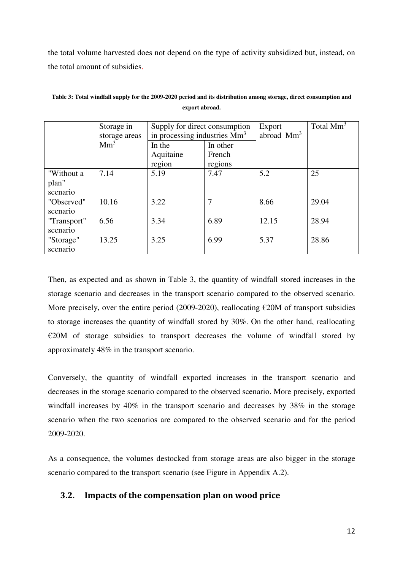the total volume harvested does not depend on the type of activity subsidized but, instead, on the total amount of subsidies.

|                                 | Storage in<br>storage areas | Supply for direct consumption<br>in processing industries $Mm3$ |                               | Export<br>abroad $Mm3$ | Total $Mm3$ |
|---------------------------------|-----------------------------|-----------------------------------------------------------------|-------------------------------|------------------------|-------------|
|                                 | Mm <sup>3</sup>             | In the<br>Aquitaine<br>region                                   | In other<br>French<br>regions |                        |             |
| "Without a<br>plan"<br>scenario | 7.14                        | 5.19                                                            | 7.47                          | 5.2                    | 25          |
| "Observed"<br>scenario          | 10.16                       | 3.22                                                            |                               | 8.66                   | 29.04       |
| "Transport"<br>scenario         | 6.56                        | 3.34                                                            | 6.89                          | 12.15                  | 28.94       |
| "Storage"<br>scenario           | 13.25                       | 3.25                                                            | 6.99                          | 5.37                   | 28.86       |

**Table 3: Total windfall supply for the 2009-2020 period and its distribution among storage, direct consumption and export abroad.** 

Then, as expected and as shown in Table 3, the quantity of windfall stored increases in the storage scenario and decreases in the transport scenario compared to the observed scenario. More precisely, over the entire period (2009-2020), reallocating  $\epsilon$ 20M of transport subsidies to storage increases the quantity of windfall stored by 30%. On the other hand, reallocating €20M of storage subsidies to transport decreases the volume of windfall stored by approximately 48% in the transport scenario.

Conversely, the quantity of windfall exported increases in the transport scenario and decreases in the storage scenario compared to the observed scenario. More precisely, exported windfall increases by 40% in the transport scenario and decreases by 38% in the storage scenario when the two scenarios are compared to the observed scenario and for the period 2009-2020.

As a consequence, the volumes destocked from storage areas are also bigger in the storage scenario compared to the transport scenario (see Figure in Appendix A.2).

## **3.2. Impacts of the compensation plan on wood price**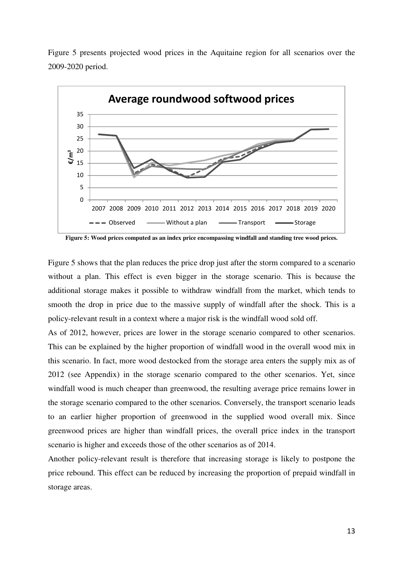

Figure 5 presents projected wood prices in the Aquitaine region for all scenarios over the 2009-2020 period.

**Figure 5: Wood prices computed as an index price encompassing windfall and standing tree wood prices.** 

Figure 5 shows that the plan reduces the price drop just after the storm compared to a scenario without a plan. This effect is even bigger in the storage scenario. This is because the additional storage makes it possible to withdraw windfall from the market, which tends to smooth the drop in price due to the massive supply of windfall after the shock. This is a policy-relevant result in a context where a major risk is the windfall wood sold off.

As of 2012, however, prices are lower in the storage scenario compared to other scenarios. This can be explained by the higher proportion of windfall wood in the overall wood mix in this scenario. In fact, more wood destocked from the storage area enters the supply mix as of 2012 (see Appendix) in the storage scenario compared to the other scenarios. Yet, since windfall wood is much cheaper than greenwood, the resulting average price remains lower in the storage scenario compared to the other scenarios. Conversely, the transport scenario leads to an earlier higher proportion of greenwood in the supplied wood overall mix. Since greenwood prices are higher than windfall prices, the overall price index in the transport scenario is higher and exceeds those of the other scenarios as of 2014.

Another policy-relevant result is therefore that increasing storage is likely to postpone the price rebound. This effect can be reduced by increasing the proportion of prepaid windfall in storage areas.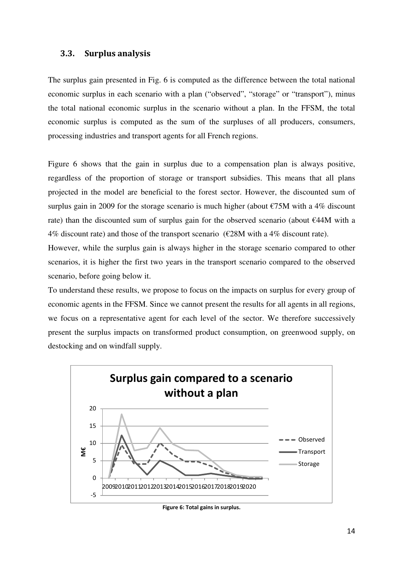#### **3.3. Surplus analysis**

The surplus gain presented in Fig. 6 is computed as the difference between the total national economic surplus in each scenario with a plan ("observed", "storage" or "transport"), minus the total national economic surplus in the scenario without a plan. In the FFSM, the total economic surplus is computed as the sum of the surpluses of all producers, consumers, processing industries and transport agents for all French regions.

Figure 6 shows that the gain in surplus due to a compensation plan is always positive, regardless of the proportion of storage or transport subsidies. This means that all plans projected in the model are beneficial to the forest sector. However, the discounted sum of surplus gain in 2009 for the storage scenario is much higher (about  $\epsilon$ 75M with a 4% discount rate) than the discounted sum of surplus gain for the observed scenario (about €44M with a 4% discount rate) and those of the transport scenario ( $\epsilon$ 28M with a 4% discount rate).

However, while the surplus gain is always higher in the storage scenario compared to other scenarios, it is higher the first two years in the transport scenario compared to the observed scenario, before going below it.

To understand these results, we propose to focus on the impacts on surplus for every group of economic agents in the FFSM. Since we cannot present the results for all agents in all regions, we focus on a representative agent for each level of the sector. We therefore successively present the surplus impacts on transformed product consumption, on greenwood supply, on destocking and on windfall supply.



**Figure 6: Total gains in surplus.**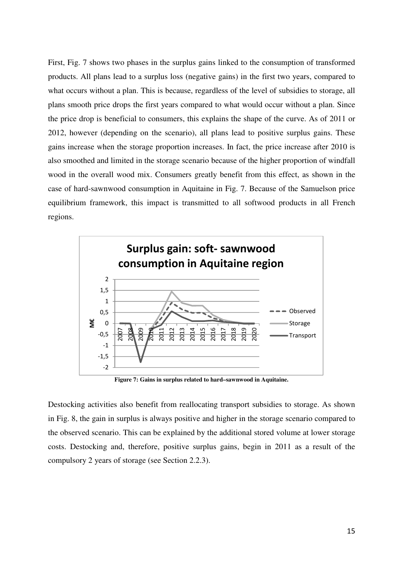First, Fig. 7 shows two phases in the surplus gains linked to the consumption of transformed products. All plans lead to a surplus loss (negative gains) in the first two years, compared to what occurs without a plan. This is because, regardless of the level of subsidies to storage, all plans smooth price drops the first years compared to what would occur without a plan. Since the price drop is beneficial to consumers, this explains the shape of the curve. As of 2011 or 2012, however (depending on the scenario), all plans lead to positive surplus gains. These gains increase when the storage proportion increases. In fact, the price increase after 2010 is also smoothed and limited in the storage scenario because of the higher proportion of windfall wood in the overall wood mix. Consumers greatly benefit from this effect, as shown in the case of hard-sawnwood consumption in Aquitaine in Fig. 7. Because of the Samuelson price equilibrium framework, this impact is transmitted to all softwood products in all French regions.



**Figure 7: Gains in surplus related to hard–sawnwood in Aquitaine.** 

Destocking activities also benefit from reallocating transport subsidies to storage. As shown in Fig. 8, the gain in surplus is always positive and higher in the storage scenario compared to the observed scenario. This can be explained by the additional stored volume at lower storage costs. Destocking and, therefore, positive surplus gains, begin in 2011 as a result of the compulsory 2 years of storage (see Section 2.2.3).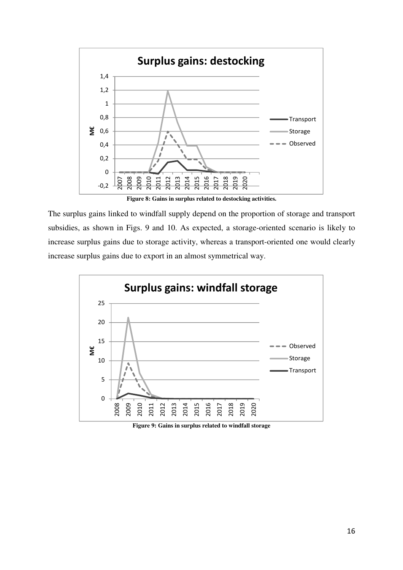

**Figure 8: Gains in surplus related to destocking activities.** 

The surplus gains linked to windfall supply depend on the proportion of storage and transport subsidies, as shown in Figs. 9 and 10. As expected, a storage-oriented scenario is likely to increase surplus gains due to storage activity, whereas a transport-oriented one would clearly increase surplus gains due to export in an almost symmetrical way.



**Figure 9: Gains in surplus related to windfall storage**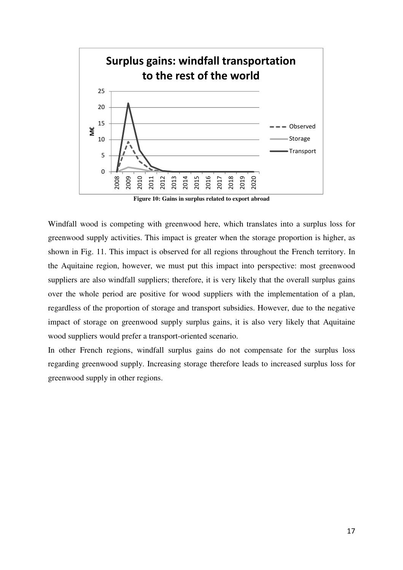

**Figure 10: Gains in surplus related to export abroad**

Windfall wood is competing with greenwood here, which translates into a surplus loss for greenwood supply activities. This impact is greater when the storage proportion is higher, as shown in Fig. 11. This impact is observed for all regions throughout the French territory. In the Aquitaine region, however, we must put this impact into perspective: most greenwood suppliers are also windfall suppliers; therefore, it is very likely that the overall surplus gains over the whole period are positive for wood suppliers with the implementation of a plan, regardless of the proportion of storage and transport subsidies. However, due to the negative impact of storage on greenwood supply surplus gains, it is also very likely that Aquitaine wood suppliers would prefer a transport-oriented scenario.

In other French regions, windfall surplus gains do not compensate for the surplus loss regarding greenwood supply. Increasing storage therefore leads to increased surplus loss for greenwood supply in other regions.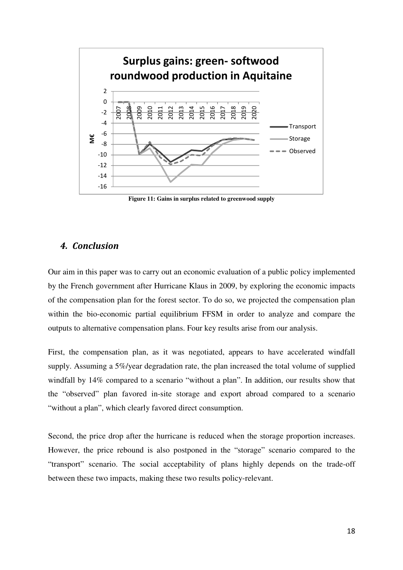

**Figure 11: Gains in surplus related to greenwood supply**

#### *4. Conclusion*

Our aim in this paper was to carry out an economic evaluation of a public policy implemented by the French government after Hurricane Klaus in 2009, by exploring the economic impacts of the compensation plan for the forest sector. To do so, we projected the compensation plan within the bio-economic partial equilibrium FFSM in order to analyze and compare the outputs to alternative compensation plans. Four key results arise from our analysis.

First, the compensation plan, as it was negotiated, appears to have accelerated windfall supply. Assuming a 5%/year degradation rate, the plan increased the total volume of supplied windfall by 14% compared to a scenario "without a plan". In addition, our results show that the "observed" plan favored in-site storage and export abroad compared to a scenario "without a plan", which clearly favored direct consumption.

Second, the price drop after the hurricane is reduced when the storage proportion increases. However, the price rebound is also postponed in the "storage" scenario compared to the "transport" scenario. The social acceptability of plans highly depends on the trade-off between these two impacts, making these two results policy-relevant.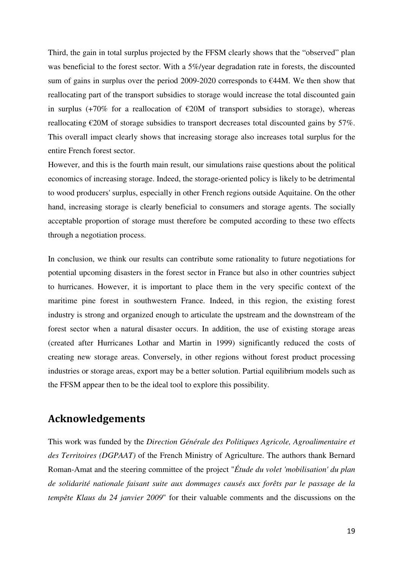Third, the gain in total surplus projected by the FFSM clearly shows that the "observed" plan was beneficial to the forest sector. With a 5%/year degradation rate in forests, the discounted sum of gains in surplus over the period 2009-2020 corresponds to  $E44M$ . We then show that reallocating part of the transport subsidies to storage would increase the total discounted gain in surplus (+70% for a reallocation of  $\epsilon$ 20M of transport subsidies to storage), whereas reallocating  $\epsilon$ 20M of storage subsidies to transport decreases total discounted gains by 57%. This overall impact clearly shows that increasing storage also increases total surplus for the entire French forest sector.

However, and this is the fourth main result, our simulations raise questions about the political economics of increasing storage. Indeed, the storage-oriented policy is likely to be detrimental to wood producers' surplus, especially in other French regions outside Aquitaine. On the other hand, increasing storage is clearly beneficial to consumers and storage agents. The socially acceptable proportion of storage must therefore be computed according to these two effects through a negotiation process.

In conclusion, we think our results can contribute some rationality to future negotiations for potential upcoming disasters in the forest sector in France but also in other countries subject to hurricanes. However, it is important to place them in the very specific context of the maritime pine forest in southwestern France. Indeed, in this region, the existing forest industry is strong and organized enough to articulate the upstream and the downstream of the forest sector when a natural disaster occurs. In addition, the use of existing storage areas (created after Hurricanes Lothar and Martin in 1999) significantly reduced the costs of creating new storage areas. Conversely, in other regions without forest product processing industries or storage areas, export may be a better solution. Partial equilibrium models such as the FFSM appear then to be the ideal tool to explore this possibility.

## **Acknowledgements**

This work was funded by the *Direction Générale des Politiques Agricole, Agroalimentaire et des Territoires (DGPAAT)* of the French Ministry of Agriculture. The authors thank Bernard Roman-Amat and the steering committee of the project "*Étude du volet 'mobilisation' du plan de solidarité nationale faisant suite aux dommages causés aux forêts par le passage de la tempête Klaus du 24 janvier 2009*" for their valuable comments and the discussions on the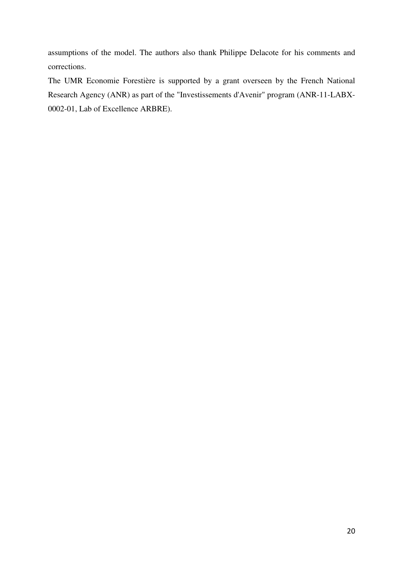assumptions of the model. The authors also thank Philippe Delacote for his comments and corrections.

The UMR Economie Forestière is supported by a grant overseen by the French National Research Agency (ANR) as part of the "Investissements d'Avenir" program (ANR-11-LABX-0002-01, Lab of Excellence ARBRE).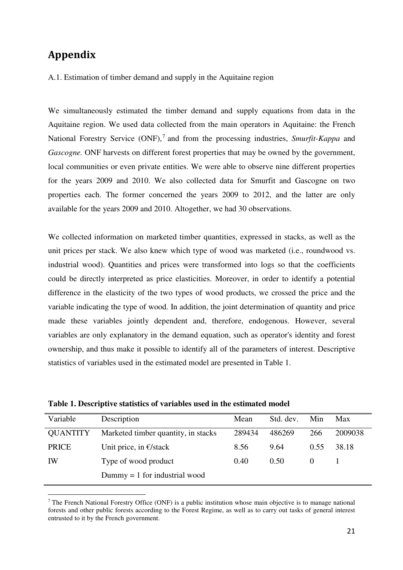# **Appendix**

 $\overline{a}$ 

#### A.1. Estimation of timber demand and supply in the Aquitaine region

We simultaneously estimated the timber demand and supply equations from data in the Aquitaine region. We used data collected from the main operators in Aquitaine: the French National Forestry Service (ONF),<sup>7</sup> and from the processing industries, *Smurfit-Kappa* and *Gascogne*. ONF harvests on different forest properties that may be owned by the government, local communities or even private entities. We were able to observe nine different properties for the years 2009 and 2010. We also collected data for Smurfit and Gascogne on two properties each. The former concerned the years 2009 to 2012, and the latter are only available for the years 2009 and 2010. Altogether, we had 30 observations.

We collected information on marketed timber quantities, expressed in stacks, as well as the unit prices per stack. We also knew which type of wood was marketed (i.e., roundwood vs. industrial wood). Quantities and prices were transformed into logs so that the coefficients could be directly interpreted as price elasticities. Moreover, in order to identify a potential difference in the elasticity of the two types of wood products, we crossed the price and the variable indicating the type of wood. In addition, the joint determination of quantity and price made these variables jointly dependent and, therefore, endogenous. However, several variables are only explanatory in the demand equation, such as operator's identity and forest ownership, and thus make it possible to identify all of the parameters of interest. Descriptive statistics of variables used in the estimated model are presented in Table 1.

| Variable        | Description                         | Mean   | Std. dev. | Min  | Max     |
|-----------------|-------------------------------------|--------|-----------|------|---------|
| <b>QUANTITY</b> | Marketed timber quantity, in stacks | 289434 | 486269    | 266  | 2009038 |
| <b>PRICE</b>    | Unit price, in $\epsilon$ /stack    | 8.56   | 9.64      | 0.55 | 38.18   |
| IW              | Type of wood product                | 0.40   | 0.50      |      |         |
|                 | $Dummy = 1$ for industrial wood     |        |           |      |         |
|                 |                                     |        |           |      |         |

**Table 1. Descriptive statistics of variables used in the estimated model**

<sup>&</sup>lt;sup>7</sup> The French National Forestry Office (ONF) is a public institution whose main objective is to manage national forests and other public forests according to the Forest Regime, as well as to carry out tasks of general interest entrusted to it by the French government.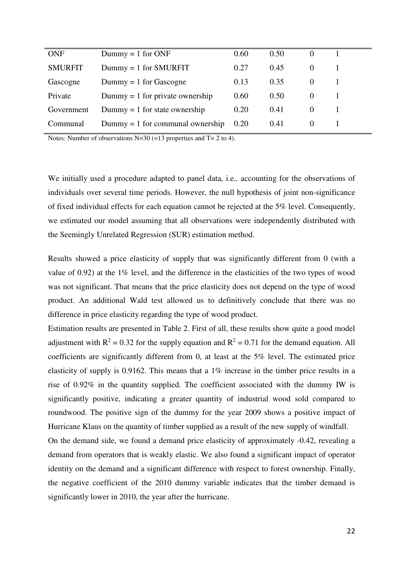| <b>ONF</b>     | $Dummy = 1$ for ONF                | 0.60 | 0.50 |          |  |
|----------------|------------------------------------|------|------|----------|--|
| <b>SMURFIT</b> | $Dummy = 1$ for SMURFIT            | 0.27 | 0.45 |          |  |
| Gascogne       | $Dummy = 1$ for Gascogne           | 0.13 | 0.35 |          |  |
| Private        | $Dummy = 1$ for private ownership  | 0.60 | 0.50 |          |  |
| Government     | $Dummy = 1$ for state ownership    | 0.20 | 0.41 |          |  |
| Communal       | $Dummy = 1$ for communal ownership | 0.20 | 0.41 | $\theta$ |  |
|                |                                    |      |      |          |  |

Notes: Number of observations N=30 (=13 properties and  $T = 2$  to 4).

We initially used a procedure adapted to panel data, i.e.*,* accounting for the observations of individuals over several time periods. However, the null hypothesis of joint non-significance of fixed individual effects for each equation cannot be rejected at the 5% level. Consequently, we estimated our model assuming that all observations were independently distributed with the Seemingly Unrelated Regression (SUR) estimation method.

Results showed a price elasticity of supply that was significantly different from 0 (with a value of 0.92) at the 1% level, and the difference in the elasticities of the two types of wood was not significant. That means that the price elasticity does not depend on the type of wood product. An additional Wald test allowed us to definitively conclude that there was no difference in price elasticity regarding the type of wood product.

Estimation results are presented in Table 2. First of all, these results show quite a good model adjustment with  $R^2 = 0.32$  for the supply equation and  $R^2 = 0.71$  for the demand equation. All coefficients are significantly different from 0, at least at the 5% level. The estimated price elasticity of supply is 0.9162. This means that a 1% increase in the timber price results in a rise of 0.92% in the quantity supplied. The coefficient associated with the dummy IW is significantly positive, indicating a greater quantity of industrial wood sold compared to roundwood. The positive sign of the dummy for the year 2009 shows a positive impact of Hurricane Klaus on the quantity of timber supplied as a result of the new supply of windfall.

On the demand side, we found a demand price elasticity of approximately -0.42, revealing a demand from operators that is weakly elastic. We also found a significant impact of operator identity on the demand and a significant difference with respect to forest ownership. Finally, the negative coefficient of the 2010 dummy variable indicates that the timber demand is significantly lower in 2010, the year after the hurricane.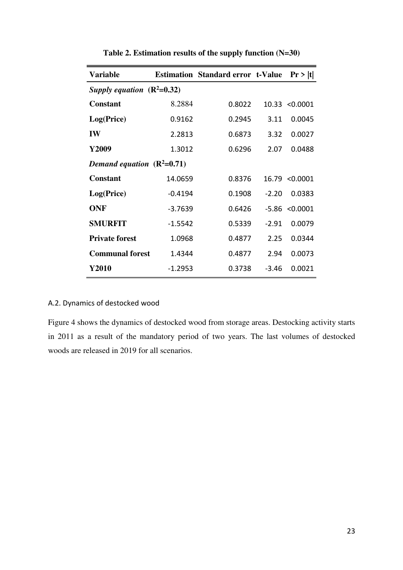| <b>Variable</b>              |           | <b>Estimation Standard error t-Value</b> |         | Pr >  t               |  |  |  |
|------------------------------|-----------|------------------------------------------|---------|-----------------------|--|--|--|
| Supply equation $(R^2=0.32)$ |           |                                          |         |                       |  |  |  |
| <b>Constant</b>              | 8.2884    | 0.8022                                   |         | $10.33 \times 0.0001$ |  |  |  |
| Log(Price)                   | 0.9162    | 0.2945                                   | 3.11    | 0.0045                |  |  |  |
| <b>IW</b>                    | 2.2813    | 0.6873                                   | 3.32    | 0.0027                |  |  |  |
| Y2009                        | 1.3012    | 0.6296                                   | 2.07    | 0.0488                |  |  |  |
| Demand equation $(R^2=0.71)$ |           |                                          |         |                       |  |  |  |
| <b>Constant</b>              | 14.0659   | 0.8376                                   |         | 16.79 < 0.0001        |  |  |  |
| Log(Price)                   | $-0.4194$ | 0.1908                                   | $-2.20$ | 0.0383                |  |  |  |
| <b>ONF</b>                   | $-3.7639$ | 0.6426                                   | -5.86   | < 0.0001              |  |  |  |
| <b>SMURFIT</b>               | $-1.5542$ | 0.5339                                   | $-2.91$ | 0.0079                |  |  |  |
| <b>Private forest</b>        | 1.0968    | 0.4877                                   | 2.25    | 0.0344                |  |  |  |
| <b>Communal forest</b>       | 1.4344    | 0.4877                                   | 2.94    | 0.0073                |  |  |  |
| Y2010                        | $-1.2953$ | 0.3738                                   | $-3.46$ | 0.0021                |  |  |  |

**Table 2. Estimation results of the supply function (N=30)** 

## A.2. Dynamics of destocked wood

Figure 4 shows the dynamics of destocked wood from storage areas. Destocking activity starts in 2011 as a result of the mandatory period of two years. The last volumes of destocked woods are released in 2019 for all scenarios.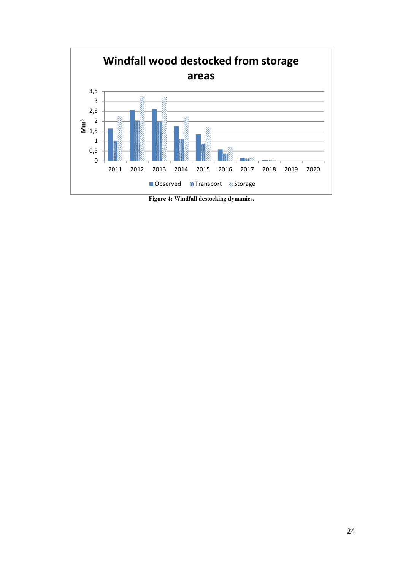

**Figure 4: Windfall destocking dynamics.**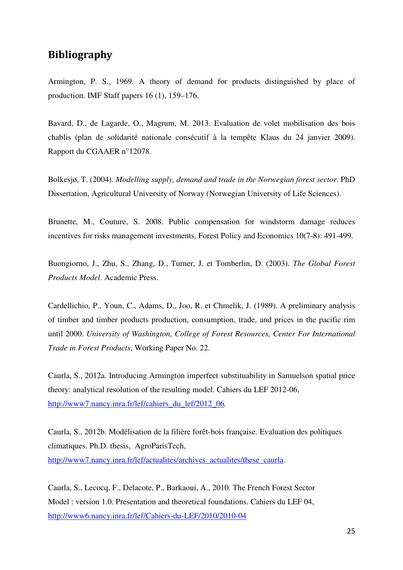## **Bibliography**

Armington, P. S., 1969. A theory of demand for products distinguished by place of production. IMF Staff papers 16 (1), 159–176.

Bavard, D., de Lagarde, O., Magrum, M. 2013. Evaluation de volet mobilisation des bois chablis (plan de solidarité nationale consécutif à la tempête Klaus du 24 janvier 2009). Rapport du CGAAER n°12078.

Bolkesjø, T. (2004). *Modelling supply, demand and trade in the Norwegian forest sector*. PhD Dissertation, Agricultural University of Norway (Norwegian University of Life Sciences).

Brunette, M., Couture, S. 2008. Public compensation for windstorm damage reduces incentives for risks management investments. Forest Policy and Economics 10(7-8): 491-499.

Buongiorno, J., Zhu, S., Zhang, D., Turner, J. et Tomberlin, D. (2003). *The Global Forest Products Model*. Academic Press.

Cardellichio, P., Youn, C., Adams, D., Joo, R. et Chmelik, J. (1989). A preliminary analysis of timber and timber products production, consumption, trade, and prices in the pacific rim until 2000. *University of Washington, College of Forest Resources, Center For International Trade in Forest Products*, Working Paper No. 22.

Caurla, S., 2012a. Introducing Armington imperfect substituability in Samuelson spatial price theory: analytical resolution of the resulting model. Cahiers du LEF 2012-06, http://www7.nancy.inra.fr/lef/cahiers\_du\_lef/2012\_06*.* 

Caurla, S., 2012b. Modélisation de la filière forêt-bois française. Evaluation des politiques climatiques. Ph.D. thesis, AgroParisTech, http://www7.nancy.inra.fr/lef/actualites/archives\_actualites/these\_caurla.

Caurla, S., Lecocq, F., Delacote, P., Barkaoui, A., 2010. The French Forest Sector Model : version 1.0. Presentation and theoretical foundations. Cahiers du LEF 04, http://www6.nancy.inra.fr/lef/Cahiers-du-LEF/2010/2010-04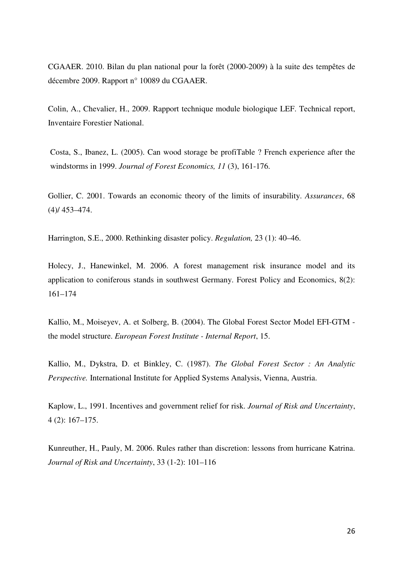CGAAER. 2010. Bilan du plan national pour la forêt (2000-2009) à la suite des tempêtes de décembre 2009. Rapport n° 10089 du CGAAER.

Colin, A., Chevalier, H., 2009. Rapport technique module biologique LEF. Technical report, Inventaire Forestier National.

Costa, S., Ibanez, L. (2005). Can wood storage be profiTable ? French experience after the windstorms in 1999. *Journal of Forest Economics, 11* (3), 161-176.

Gollier, C. 2001. Towards an economic theory of the limits of insurability. *Assurances*, 68 (4)/ 453–474.

Harrington, S.E., 2000. Rethinking disaster policy. *Regulation,* 23 (1): 40–46.

Holecy, J., Hanewinkel, M. 2006. A forest management risk insurance model and its application to coniferous stands in southwest Germany. Forest Policy and Economics, 8(2): 161–174

Kallio, M., Moiseyev, A. et Solberg, B. (2004). The Global Forest Sector Model EFI-GTM the model structure. *European Forest Institute - Internal Report*, 15.

Kallio, M., Dykstra, D. et Binkley, C. (1987). *The Global Forest Sector : An Analytic Perspective.* International Institute for Applied Systems Analysis, Vienna, Austria.

Kaplow, L., 1991. Incentives and government relief for risk. *Journal of Risk and Uncertainty*, 4 (2): 167–175.

Kunreuther, H., Pauly, M. 2006. Rules rather than discretion: lessons from hurricane Katrina. *Journal of Risk and Uncertainty*, 33 (1-2): 101–116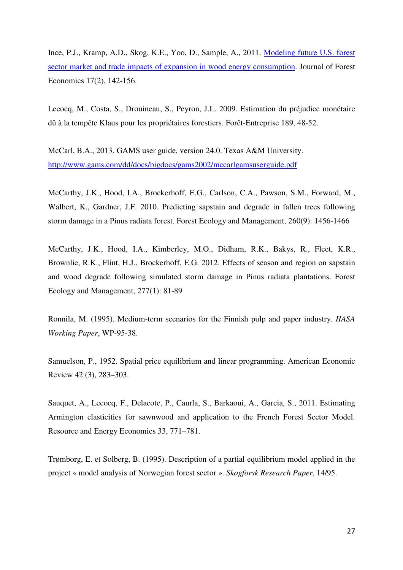Ince, P.J., Kramp, A.D., Skog, K.E., Yoo, D., Sample, A., 2011. Modeling future U.S. forest sector market and trade impacts of expansion in wood energy consumption. Journal of Forest Economics 17(2), 142-156.

Lecocq, M., Costa, S., Drouineau, S., Peyron, J.L. 2009. Estimation du préjudice monétaire dû à la tempête Klaus pour les propriétaires forestiers. Forêt-Entreprise 189, 48-52.

McCarl, B.A., 2013. GAMS user guide, version 24.0. Texas A&M University. http://www.gams.com/dd/docs/bigdocs/gams2002/mccarlgamsuserguide.pdf

McCarthy, J.K., Hood, I.A., Brockerhoff, E.G., Carlson, C.A., Pawson, S.M., Forward, M., Walbert, K., Gardner, J.F. 2010. Predicting sapstain and degrade in fallen trees following storm damage in a Pinus radiata forest. Forest Ecology and Management, 260(9): 1456-1466

McCarthy, J.K., Hood, I.A., Kimberley, M.O., Didham, R.K., Bakys, R., Fleet, K.R., Brownlie, R.K., Flint, H.J., Brockerhoff, E.G. 2012. Effects of season and region on sapstain and wood degrade following simulated storm damage in Pinus radiata plantations. Forest Ecology and Management, 277(1): 81-89

Ronnila, M. (1995). Medium-term scenarios for the Finnish pulp and paper industry. *IIASA Working Paper*, WP-95-38.

Samuelson, P., 1952. Spatial price equilibrium and linear programming. American Economic Review 42 (3), 283–303.

Sauquet, A., Lecocq, F., Delacote, P., Caurla, S., Barkaoui, A., Garcia, S., 2011. Estimating Armington elasticities for sawnwood and application to the French Forest Sector Model. Resource and Energy Economics 33, 771–781.

Trømborg, E. et Solberg, B. (1995). Description of a partial equilibrium model applied in the project « model analysis of Norwegian forest sector ». *Skogforsk Research Paper*, 14/95.